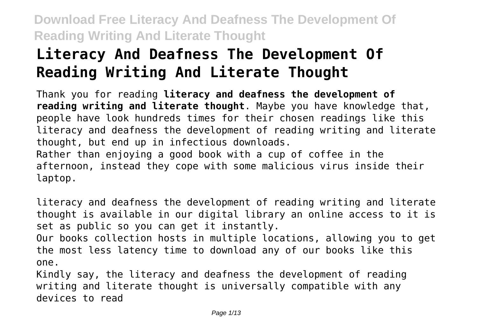# **Literacy And Deafness The Development Of Reading Writing And Literate Thought**

Thank you for reading **literacy and deafness the development of reading writing and literate thought**. Maybe you have knowledge that, people have look hundreds times for their chosen readings like this literacy and deafness the development of reading writing and literate thought, but end up in infectious downloads. Rather than enjoying a good book with a cup of coffee in the afternoon, instead they cope with some malicious virus inside their laptop.

literacy and deafness the development of reading writing and literate thought is available in our digital library an online access to it is set as public so you can get it instantly. Our books collection hosts in multiple locations, allowing you to get the most less latency time to download any of our books like this one.

Kindly say, the literacy and deafness the development of reading writing and literate thought is universally compatible with any devices to read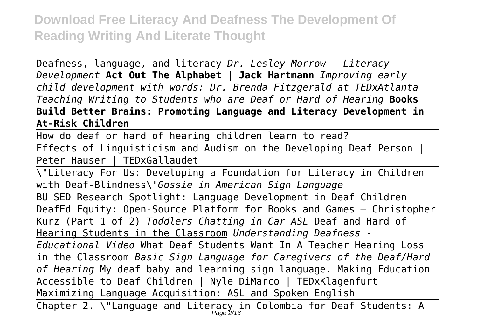Deafness, language, and literacy *Dr. Lesley Morrow - Literacy Development* **Act Out The Alphabet | Jack Hartmann** *Improving early child development with words: Dr. Brenda Fitzgerald at TEDxAtlanta Teaching Writing to Students who are Deaf or Hard of Hearing* **Books Build Better Brains: Promoting Language and Literacy Development in At-Risk Children**

How do deaf or hard of hearing children learn to read?

Effects of Linguisticism and Audism on the Developing Deaf Person | Peter Hauser | TEDxGallaudet

\"Literacy For Us: Developing a Foundation for Literacy in Children with Deaf-Blindness\"*Gossie in American Sign Language*

BU SED Research Spotlight: Language Development in Deaf Children DeafEd Equity: Open-Source Platform for Books and Games – Christopher Kurz (Part 1 of 2) *Toddlers Chatting in Car ASL* Deaf and Hard of Hearing Students in the Classroom *Understanding Deafness - Educational Video* What Deaf Students Want In A Teacher Hearing Loss in the Classroom *Basic Sign Language for Caregivers of the Deaf/Hard of Hearing* My deaf baby and learning sign language. Making Education Accessible to Deaf Children | Nyle DiMarco | TEDxKlagenfurt Maximizing Language Acquisition: ASL and Spoken English

Chapter 2. \"Language and Literacy in Colombia for Deaf Students: A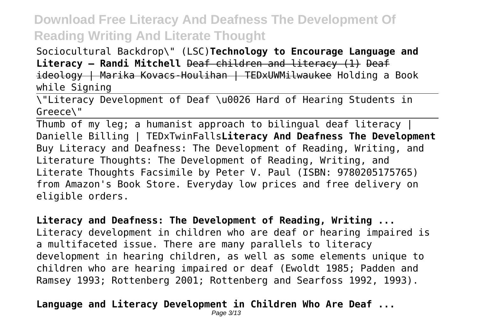Sociocultural Backdrop\" (LSC)**Technology to Encourage Language and Literacy – Randi Mitchell** Deaf children and literacy (1) Deaf ideology | Marika Kovacs-Houlihan | TEDxUWMilwaukee Holding a Book while Signing

\"Literacy Development of Deaf \u0026 Hard of Hearing Students in Greece\"

Thumb of my leg; a humanist approach to bilingual deaf literacy | Danielle Billing | TEDxTwinFalls**Literacy And Deafness The Development** Buy Literacy and Deafness: The Development of Reading, Writing, and Literature Thoughts: The Development of Reading, Writing, and Literate Thoughts Facsimile by Peter V. Paul (ISBN: 9780205175765) from Amazon's Book Store. Everyday low prices and free delivery on eligible orders.

**Literacy and Deafness: The Development of Reading, Writing ...** Literacy development in children who are deaf or hearing impaired is a multifaceted issue. There are many parallels to literacy development in hearing children, as well as some elements unique to children who are hearing impaired or deaf (Ewoldt 1985; Padden and Ramsey 1993; Rottenberg 2001; Rottenberg and Searfoss 1992, 1993).

#### **Language and Literacy Development in Children Who Are Deaf ...**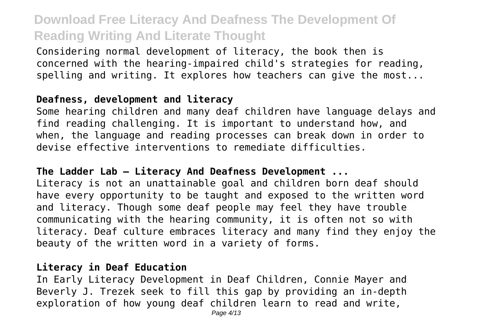Considering normal development of literacy, the book then is concerned with the hearing-impaired child's strategies for reading, spelling and writing. It explores how teachers can give the most...

#### **Deafness, development and literacy**

Some hearing children and many deaf children have language delays and find reading challenging. It is important to understand how, and when, the language and reading processes can break down in order to devise effective interventions to remediate difficulties.

#### **The Ladder Lab – Literacy And Deafness Development ...**

Literacy is not an unattainable goal and children born deaf should have every opportunity to be taught and exposed to the written word and literacy. Though some deaf people may feel they have trouble communicating with the hearing community, it is often not so with literacy. Deaf culture embraces literacy and many find they enjoy the beauty of the written word in a variety of forms.

#### **Literacy in Deaf Education**

In Early Literacy Development in Deaf Children, Connie Mayer and Beverly J. Trezek seek to fill this gap by providing an in-depth exploration of how young deaf children learn to read and write,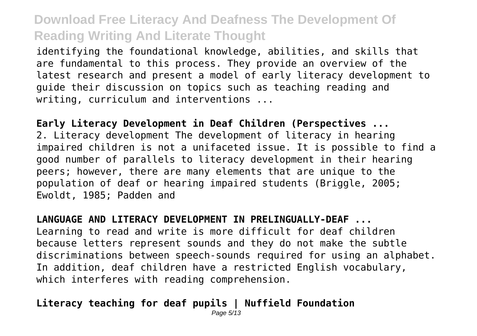identifying the foundational knowledge, abilities, and skills that are fundamental to this process. They provide an overview of the latest research and present a model of early literacy development to guide their discussion on topics such as teaching reading and writing, curriculum and interventions ...

**Early Literacy Development in Deaf Children (Perspectives ...** 2. Literacy development The development of literacy in hearing impaired children is not a unifaceted issue. It is possible to find a good number of parallels to literacy development in their hearing peers; however, there are many elements that are unique to the population of deaf or hearing impaired students (Briggle, 2005; Ewoldt, 1985; Padden and

**LANGUAGE AND LITERACY DEVELOPMENT IN PRELINGUALLY-DEAF ...** Learning to read and write is more difficult for deaf children because letters represent sounds and they do not make the subtle discriminations between speech-sounds required for using an alphabet. In addition, deaf children have a restricted English vocabulary, which interferes with reading comprehension.

#### **Literacy teaching for deaf pupils | Nuffield Foundation**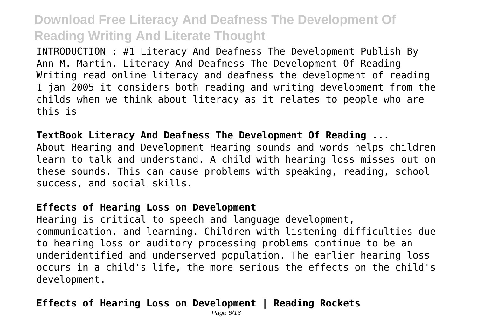INTRODUCTION : #1 Literacy And Deafness The Development Publish By Ann M. Martin, Literacy And Deafness The Development Of Reading Writing read online literacy and deafness the development of reading 1 jan 2005 it considers both reading and writing development from the childs when we think about literacy as it relates to people who are this is

**TextBook Literacy And Deafness The Development Of Reading ...** About Hearing and Development Hearing sounds and words helps children learn to talk and understand. A child with hearing loss misses out on these sounds. This can cause problems with speaking, reading, school success, and social skills.

#### **Effects of Hearing Loss on Development**

Hearing is critical to speech and language development, communication, and learning. Children with listening difficulties due to hearing loss or auditory processing problems continue to be an underidentified and underserved population. The earlier hearing loss occurs in a child's life, the more serious the effects on the child's development.

#### **Effects of Hearing Loss on Development | Reading Rockets**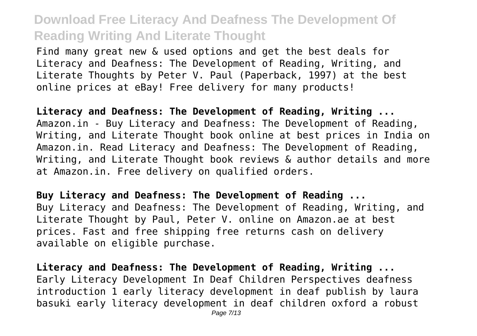Find many great new & used options and get the best deals for Literacy and Deafness: The Development of Reading, Writing, and Literate Thoughts by Peter V. Paul (Paperback, 1997) at the best online prices at eBay! Free delivery for many products!

**Literacy and Deafness: The Development of Reading, Writing ...** Amazon.in - Buy Literacy and Deafness: The Development of Reading, Writing, and Literate Thought book online at best prices in India on Amazon.in. Read Literacy and Deafness: The Development of Reading, Writing, and Literate Thought book reviews & author details and more at Amazon.in. Free delivery on qualified orders.

**Buy Literacy and Deafness: The Development of Reading ...** Buy Literacy and Deafness: The Development of Reading, Writing, and Literate Thought by Paul, Peter V. online on Amazon.ae at best prices. Fast and free shipping free returns cash on delivery available on eligible purchase.

**Literacy and Deafness: The Development of Reading, Writing ...** Early Literacy Development In Deaf Children Perspectives deafness introduction 1 early literacy development in deaf publish by laura basuki early literacy development in deaf children oxford a robust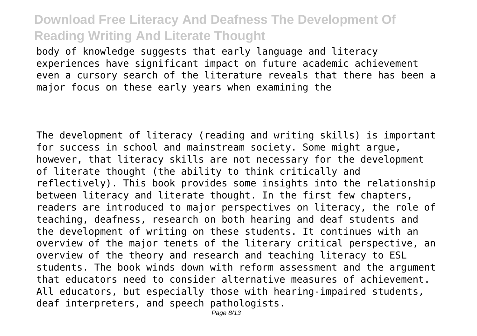body of knowledge suggests that early language and literacy experiences have significant impact on future academic achievement even a cursory search of the literature reveals that there has been a major focus on these early years when examining the

The development of literacy (reading and writing skills) is important for success in school and mainstream society. Some might argue, however, that literacy skills are not necessary for the development of literate thought (the ability to think critically and reflectively). This book provides some insights into the relationship between literacy and literate thought. In the first few chapters, readers are introduced to major perspectives on literacy, the role of teaching, deafness, research on both hearing and deaf students and the development of writing on these students. It continues with an overview of the major tenets of the literary critical perspective, an overview of the theory and research and teaching literacy to ESL students. The book winds down with reform assessment and the argument that educators need to consider alternative measures of achievement. All educators, but especially those with hearing-impaired students, deaf interpreters, and speech pathologists.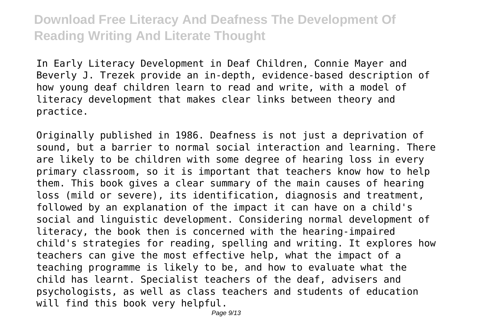In Early Literacy Development in Deaf Children, Connie Mayer and Beverly J. Trezek provide an in-depth, evidence-based description of how young deaf children learn to read and write, with a model of literacy development that makes clear links between theory and practice.

Originally published in 1986. Deafness is not just a deprivation of sound, but a barrier to normal social interaction and learning. There are likely to be children with some degree of hearing loss in every primary classroom, so it is important that teachers know how to help them. This book gives a clear summary of the main causes of hearing loss (mild or severe), its identification, diagnosis and treatment, followed by an explanation of the impact it can have on a child's social and linguistic development. Considering normal development of literacy, the book then is concerned with the hearing-impaired child's strategies for reading, spelling and writing. It explores how teachers can give the most effective help, what the impact of a teaching programme is likely to be, and how to evaluate what the child has learnt. Specialist teachers of the deaf, advisers and psychologists, as well as class teachers and students of education will find this book very helpful.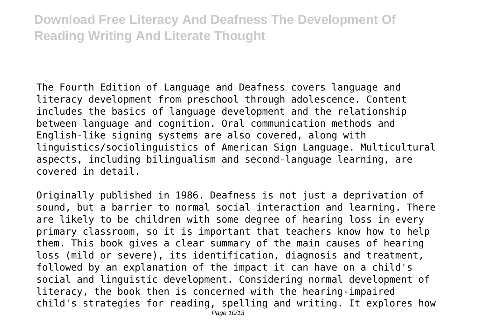The Fourth Edition of Language and Deafness covers language and literacy development from preschool through adolescence. Content includes the basics of language development and the relationship between language and cognition. Oral communication methods and English-like signing systems are also covered, along with linguistics/sociolinguistics of American Sign Language. Multicultural aspects, including bilingualism and second-language learning, are covered in detail.

Originally published in 1986. Deafness is not just a deprivation of sound, but a barrier to normal social interaction and learning. There are likely to be children with some degree of hearing loss in every primary classroom, so it is important that teachers know how to help them. This book gives a clear summary of the main causes of hearing loss (mild or severe), its identification, diagnosis and treatment, followed by an explanation of the impact it can have on a child's social and linguistic development. Considering normal development of literacy, the book then is concerned with the hearing-impaired child's strategies for reading, spelling and writing. It explores how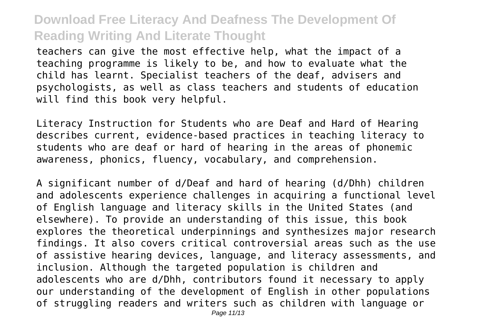teachers can give the most effective help, what the impact of a teaching programme is likely to be, and how to evaluate what the child has learnt. Specialist teachers of the deaf, advisers and psychologists, as well as class teachers and students of education will find this book very helpful.

Literacy Instruction for Students who are Deaf and Hard of Hearing describes current, evidence-based practices in teaching literacy to students who are deaf or hard of hearing in the areas of phonemic awareness, phonics, fluency, vocabulary, and comprehension.

A significant number of d/Deaf and hard of hearing (d/Dhh) children and adolescents experience challenges in acquiring a functional level of English language and literacy skills in the United States (and elsewhere). To provide an understanding of this issue, this book explores the theoretical underpinnings and synthesizes major research findings. It also covers critical controversial areas such as the use of assistive hearing devices, language, and literacy assessments, and inclusion. Although the targeted population is children and adolescents who are d/Dhh, contributors found it necessary to apply our understanding of the development of English in other populations of struggling readers and writers such as children with language or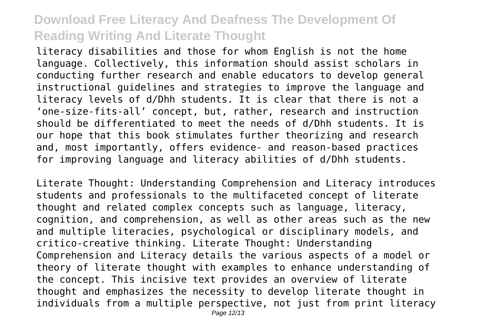literacy disabilities and those for whom English is not the home language. Collectively, this information should assist scholars in conducting further research and enable educators to develop general instructional guidelines and strategies to improve the language and literacy levels of d/Dhh students. It is clear that there is not a 'one-size-fits-all' concept, but, rather, research and instruction should be differentiated to meet the needs of d/Dhh students. It is our hope that this book stimulates further theorizing and research and, most importantly, offers evidence- and reason-based practices for improving language and literacy abilities of d/Dhh students.

Literate Thought: Understanding Comprehension and Literacy introduces students and professionals to the multifaceted concept of literate thought and related complex concepts such as language, literacy, cognition, and comprehension, as well as other areas such as the new and multiple literacies, psychological or disciplinary models, and critico-creative thinking. Literate Thought: Understanding Comprehension and Literacy details the various aspects of a model or theory of literate thought with examples to enhance understanding of the concept. This incisive text provides an overview of literate thought and emphasizes the necessity to develop literate thought in individuals from a multiple perspective, not just from print literacy